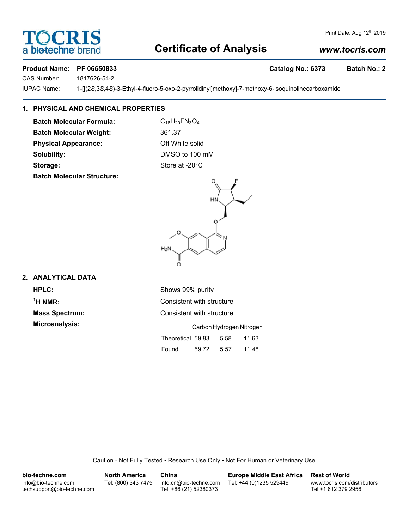# OCRI a biotechne

## Print Date: Aug 12th 2019

# **Certificate of Analysis**

# *www.tocris.com*

# Product Name: PF 06650833 **Catalog No.: 6373** Batch No.: 2

CAS Number: 1817626-54-2

IUPAC Name: 1-[[(2*S*,3*S*,4*S*)-3-Ethyl-4-fluoro-5-oxo-2-pyrrolidinyl]methoxy]-7-methoxy-6-isoquinolinecarboxamide

# **1. PHYSICAL AND CHEMICAL PROPERTIES**

**Batch Molecular Formula:** C<sub>18</sub>H<sub>20</sub>FN<sub>3</sub>O<sub>4</sub> **Batch Molecular Weight:** 361.37

**Physical Appearance:** Off White solid

**Batch Molecular Structure:**

**Solubility:** DMSO to 100 mM **Storage:** Store at -20°C



# **2. ANALYTICAL DATA**

**HPLC:** Shows 99% purity  $<sup>1</sup>H NMR$ :</sup>

**Consistent with structure Mass Spectrum:** Consistent with structure **Microanalysis:** Carbon Hydrogen Nitrogen

|                   |       | <u>Udibuli iyuluyun muuqun</u> |       |
|-------------------|-------|--------------------------------|-------|
| Theoretical 59.83 |       | 5.58                           | 11.63 |
| Found             | 59.72 | 5.57                           | 11.48 |

Caution - Not Fully Tested • Research Use Only • Not For Human or Veterinary Use

| bio-techne.com                                    | North America       | China                                            | <b>Europe Middle East Africa</b> | <b>Rest of World</b>                               |
|---------------------------------------------------|---------------------|--------------------------------------------------|----------------------------------|----------------------------------------------------|
| info@bio-techne.com<br>techsupport@bio-techne.com | Tel: (800) 343 7475 | info.cn@bio-techne.com<br>Tel: +86 (21) 52380373 | Tel: +44 (0)1235 529449          | www.tocris.com/distributors<br>Tel:+1 612 379 2956 |